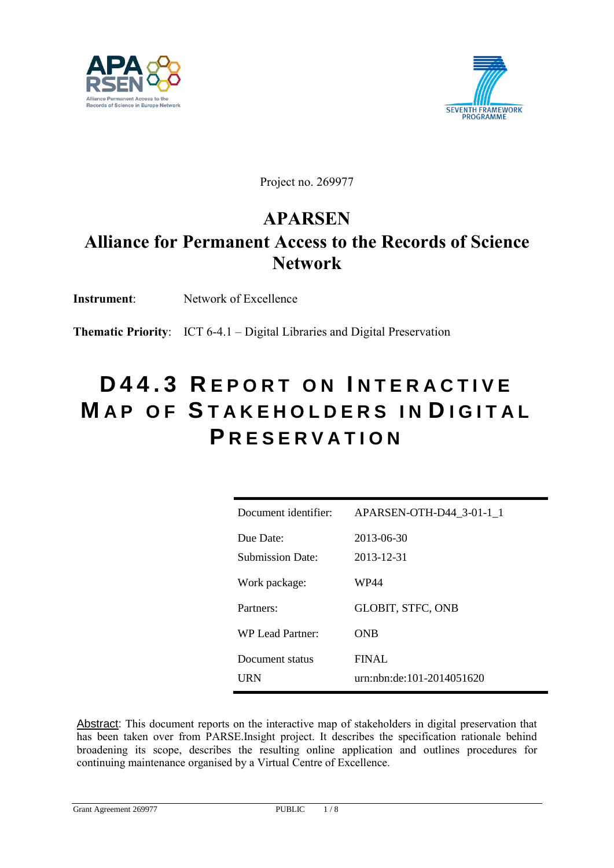



Project no. 269977

### **APARSEN**

## **Alliance for Permanent Access to the Records of Science Network**

**Instrument**: Network of Excellence

**Thematic Priority**: ICT 6-4.1 – Digital Libraries and Digital Preservation

## **D 4 4 . 3 R E P O R T O N I N T E R A C T I V E MAP OF STAKEHOLDERS IN DIGITAL P R E S E R V A T I O N**

| Document identifier: | APARSEN-OTH-D44 3-01-1 1  |
|----------------------|---------------------------|
| Due Date:            | 2013-06-30                |
| Submission Date:     | 2013-12-31                |
| Work package:        | WP44                      |
| Partners:            | <b>GLOBIT, STFC, ONB</b>  |
| WP Lead Partner      | ONB                       |
| Document status      | FINAL.                    |
| URN                  | urn:nbn:de:101-2014051620 |

Abstract: This document reports on the interactive map of stakeholders in digital preservation that has been taken over from PARSE.Insight project. It describes the specification rationale behind broadening its scope, describes the resulting online application and outlines procedures for continuing maintenance organised by a Virtual Centre of Excellence.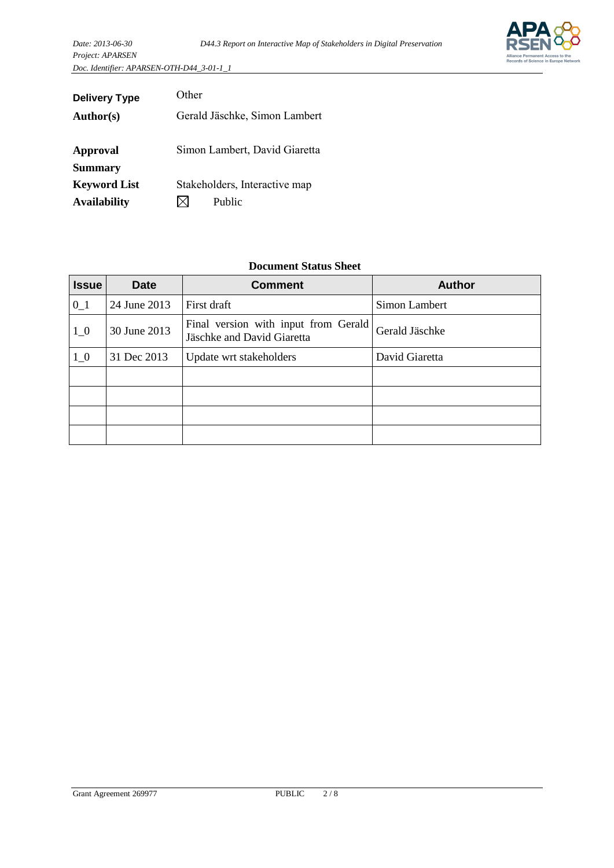*Project: APARSEN Doc. Identifier: APARSEN-OTH-D44\_3-01-1\_1*

| 11010000011111111111111                   |                               |
|-------------------------------------------|-------------------------------|
| Doc. Identifier: APARSEN-OTH-D44 3-01-1 1 |                               |
|                                           |                               |
| <b>Delivery Type</b>                      | Other                         |
| <b>Author(s)</b>                          | Gerald Jäschke, Simon Lambert |
|                                           |                               |
| <b>Approval</b>                           | Simon Lambert, David Giaretta |
| <b>Summary</b>                            |                               |
| <b>Keyword List</b>                       | Stakeholders, Interactive map |
| <b>Availability</b>                       | Public                        |

### **Document Status Sheet**

| <b>Issue</b>                                                                                  | <b>Date</b>                                              | <b>Comment</b> | <b>Author</b>  |
|-----------------------------------------------------------------------------------------------|----------------------------------------------------------|----------------|----------------|
| $0_1$                                                                                         | 24 June 2013                                             | First draft    | Simon Lambert  |
| Final version with input from Gerald<br>$1_{0}$<br>30 June 2013<br>Jäschke and David Giaretta |                                                          |                | Gerald Jäschke |
| $1_{0}$                                                                                       | 31 Dec 2013<br>David Giaretta<br>Update wrt stakeholders |                |                |
|                                                                                               |                                                          |                |                |
|                                                                                               |                                                          |                |                |
|                                                                                               |                                                          |                |                |
|                                                                                               |                                                          |                |                |

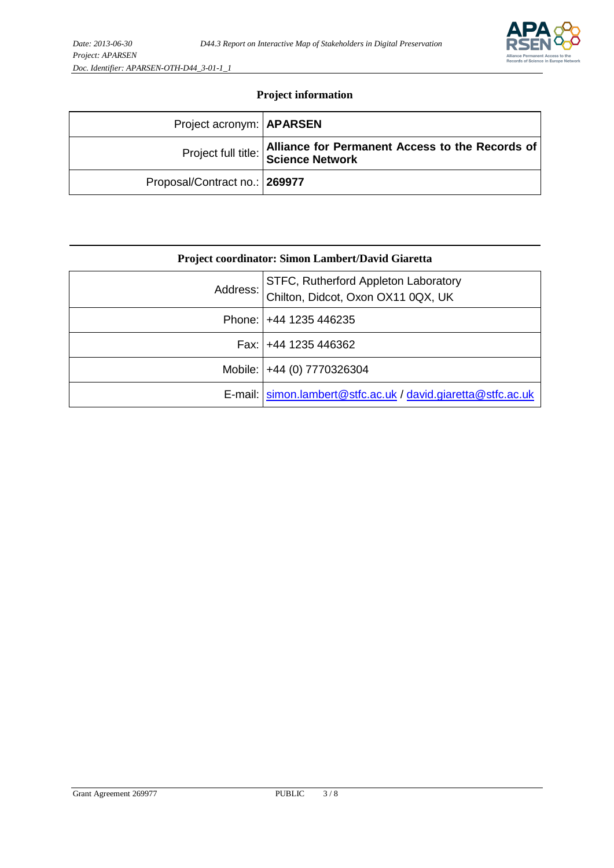

### **Project information**

| Project acronym: <b>APARSEN</b> |                                                                                        |
|---------------------------------|----------------------------------------------------------------------------------------|
|                                 | Alliance for Permanent Access to the Records of<br>Project full title: Science Network |
| Proposal/Contract no.: 269977   |                                                                                        |

|          | Project coordinator: Simon Lambert/David Giaretta                          |
|----------|----------------------------------------------------------------------------|
| Address: | STFC, Rutherford Appleton Laboratory<br>Chilton, Didcot, Oxon OX11 0QX, UK |
|          | Phone:   +44 1235 446235                                                   |
|          | Fax: +44 1235 446362                                                       |
|          | Mobile:   +44 (0) 7770326304                                               |
|          | E-mail: simon.lambert@stfc.ac.uk / david.giaretta@stfc.ac.uk               |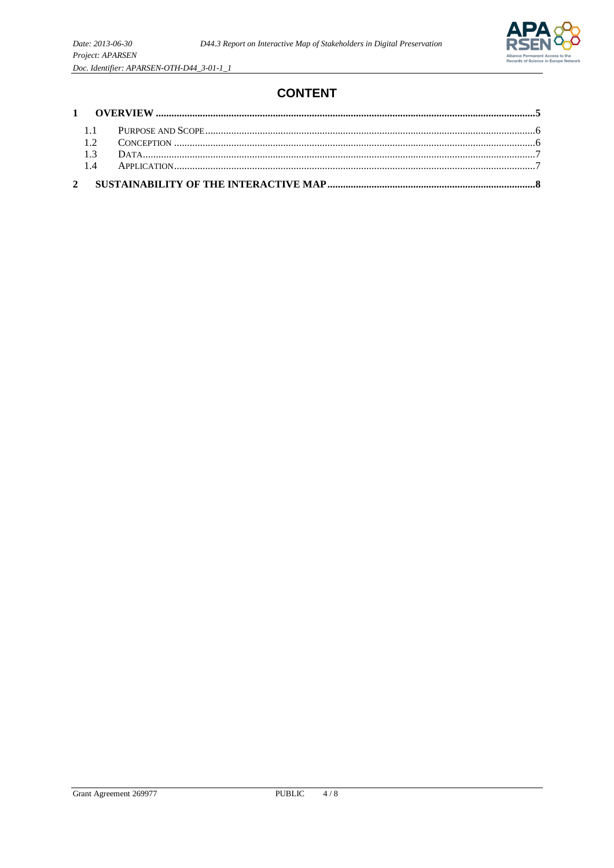

### **CONTENT**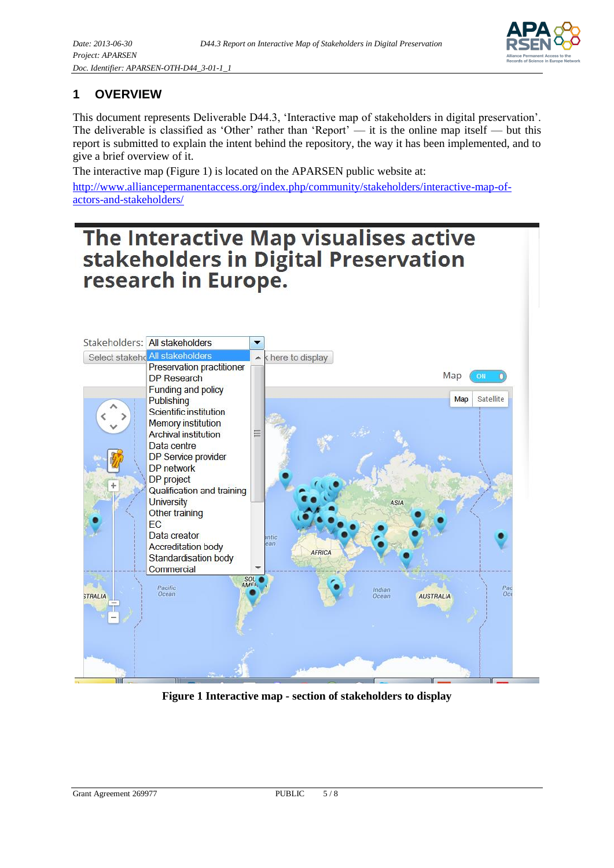

### <span id="page-4-0"></span>**1 OVERVIEW**

This document represents Deliverable D44.3, 'Interactive map of stakeholders in digital preservation'. The deliverable is classified as 'Other' rather than 'Report' — it is the online map itself — but this report is submitted to explain the intent behind the repository, the way it has been implemented, and to give a brief overview of it.

The interactive map (Figure 1) is located on the APARSEN public website at:

[http://www.alliancepermanentaccess.org/index.php/community/stakeholders/interactive-map-of](http://www.alliancepermanentaccess.org/index.php/community/stakeholders/interactive-map-of-actors-and-stakeholders/)[actors-and-stakeholders/](http://www.alliancepermanentaccess.org/index.php/community/stakeholders/interactive-map-of-actors-and-stakeholders/)

# The Interactive Map visualises active<br>stakeholders in Digital Preservation research in Europe.



**Figure 1 Interactive map - section of stakeholders to display**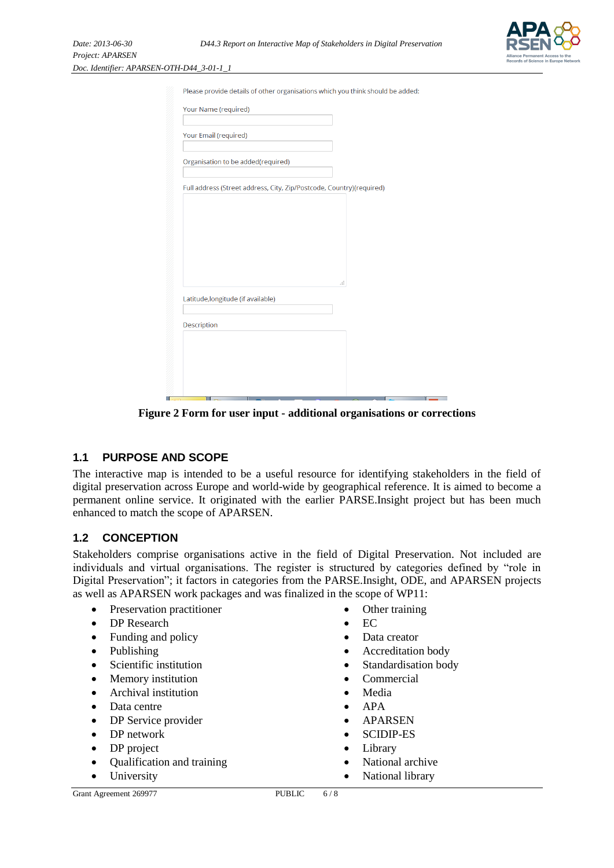*Project: APARSEN Doc. Identifier: APARSEN-0* 



| Please provide details of other organisations which you think should be added: |  |    |  |
|--------------------------------------------------------------------------------|--|----|--|
| Your Name (required)                                                           |  |    |  |
| Your Email (required)                                                          |  |    |  |
| Organisation to be added(required)                                             |  |    |  |
| Full address (Street address, City, Zip/Postcode, Country)(required)           |  |    |  |
|                                                                                |  |    |  |
|                                                                                |  |    |  |
|                                                                                |  |    |  |
|                                                                                |  |    |  |
|                                                                                |  | лÍ |  |
| Latitude, longitude (if available)                                             |  |    |  |
| Description                                                                    |  |    |  |
|                                                                                |  |    |  |
|                                                                                |  |    |  |

**Figure 2 Form for user input - additional organisations or corrections**

### <span id="page-5-0"></span>**1.1 PURPOSE AND SCOPE**

The interactive map is intended to be a useful resource for identifying stakeholders in the field of digital preservation across Europe and world-wide by geographical reference. It is aimed to become a permanent online service. It originated with the earlier PARSE.Insight project but has been much enhanced to match the scope of APARSEN.

### <span id="page-5-1"></span>**1.2 CONCEPTION**

Stakeholders comprise organisations active in the field of Digital Preservation. Not included are individuals and virtual organisations. The register is structured by categories defined by "role in Digital Preservation"; it factors in categories from the PARSE.Insight, ODE, and APARSEN projects as well as APARSEN work packages and was finalized in the scope of WP11:

- Preservation practitioner
- DP Research
- Funding and policy
- Publishing
- Scientific institution
- Memory institution
- Archival institution
- Data centre
- DP Service provider
- DP network
- DP project
- Qualification and training
- University
- Other training
- $E\Gamma$
- Data creator
- Accreditation body
- Standardisation body
- Commercial
- Media
- APA
- APARSEN
- SCIDIP-ES
- Library
- National archive
- National library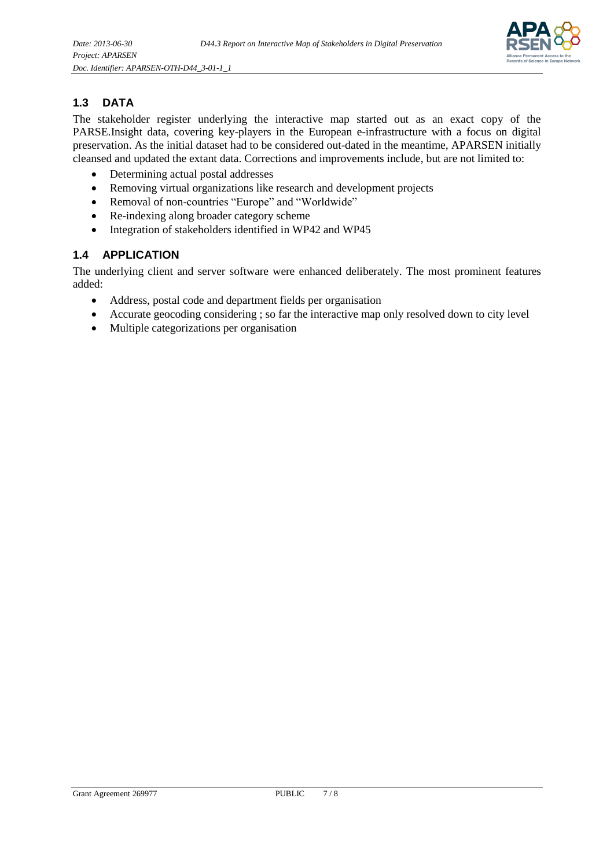

### <span id="page-6-0"></span>**1.3 DATA**

The stakeholder register underlying the interactive map started out as an exact copy of the PARSE.Insight data, covering key-players in the European e-infrastructure with a focus on digital preservation. As the initial dataset had to be considered out-dated in the meantime, APARSEN initially cleansed and updated the extant data. Corrections and improvements include, but are not limited to:

- Determining actual postal addresses
- Removing virtual organizations like research and development projects
- Removal of non-countries "Europe" and "Worldwide"
- Re-indexing along broader category scheme
- Integration of stakeholders identified in WP42 and WP45

### <span id="page-6-1"></span>**1.4 APPLICATION**

The underlying client and server software were enhanced deliberately. The most prominent features added:

- Address, postal code and department fields per organisation
- Accurate geocoding considering ; so far the interactive map only resolved down to city level
- Multiple categorizations per organisation